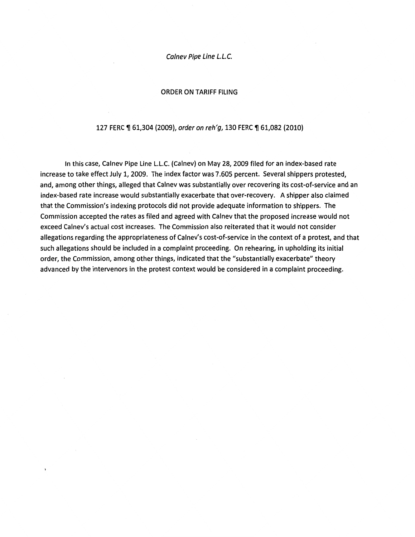Calnev Pipe Line L.L.C.

#### ORDER ON TARIFF FILING

#### 127 FERC ¶ 61,304 (2009), order on reh'g, 130 FERC ¶ 61,082 (2010)

In this case, Calnev Pipe Line L.L.C. (Calnev) on May 28, 2009 filed for an index-based rate increase to take effect July 1, 2009. The index factor was 7.605 percent. Several shippers protested, and, among other things, alleged that Calnev was substantially over recovering its cost-of-service and an index-based rate increase would substantially exacerbate that over-recovery. A shipper also claimed that the Commission's indexing protocols did not provide adequate information to shippers. The Commission accepted the rates as filed and agreed with Calnev that the proposed increase would not exceed Calnev's actual cost increases. The Commission also reiterated that it would not consider allegations regarding the appropriateness of Calnev's cost-of-service in the context of a protest, and that such allegations should be included in a complaint proceeding. On rehearing, in upholding its initial order, the Commission, among other things, indicated that the "substantially exacerbate" theory advanced by the intervenors in the protest context would be considered in a complaint proceeding.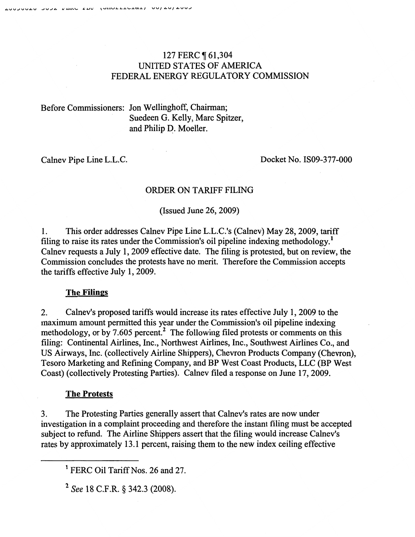# 127 FERC ¶ 61,304 UNITED STATES OF AMERICA FEDERAL ENERGY REGULATORY COMMISSION

# Before Commissioners: Jon Wellinghoff, Chairman; Suedeen G. Kelly, Marc Spitzer, and Philip D. Moeller.

Calnev Pipe Line L.L.C.

Docket No. IS09-377 -000

## ORDER ON TARIFF FILING

(Issued June 26, 2009)

1. This order addresses Calnev Pipe Line L.L.C.'s (Calnev) May 28,2009, tariff filing to raise its rates under the Commission's oil pipeline indexing methodology.<sup>1</sup> Calnev requests a July 1, 2009 effective date. The filing is protested, but on review, the Commission concludes the protests have no merit. Therefore the Commission accepts the tariffs effective July 1, 2009.

## The Filings

2. Calnev's proposed tariffs would increase its rates effective July 1, 2009 to the maximum amount permitted this year under the Commission's oil pipeline indexing methodology, or by 7.605 percent.<sup>2</sup> The following filed protests or comments on this filing: Continental Airlines, Inc., Northwest Airlines, Inc., Southwest Airlines Co., and US Airways, Inc. (collectively Airline Shippers), Chevron Products Company (Chevron), Tesoro Marketing and Refming Company, and BP West Coast Products, LLC (BP West Coast) (collectively Protesting Parties). Calnev filed a response on June 17,2009.

## The Protests

3. The Protesting Parties generally assert that Calnev's rates are now under investigation in a complaint proceeding and therefore the instant filing must be accepted subject to refund. The Airline Shippers assert that the filing would increase Calnev's rates by approximately 13.1 percent, raising them to the new index ceiling effective

<sup>&</sup>lt;sup>1</sup> FERC Oil Tariff Nos. 26 and 27.

<sup>2</sup> *See* 18 C.F.R. § 342.3 (2008).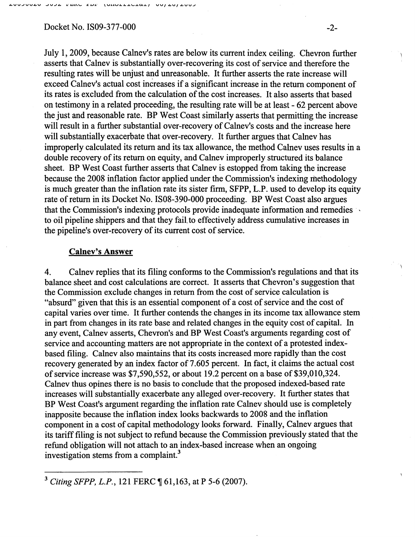#### Docket No. IS09-377-000 -2-

July 1, 2009, because Calnev's rates are below its current index ceiling. Chevron further asserts that Calnev is substantially over-recovering its cost of service and therefore the resulting rates will be unjust and unreasonable. It further asserts the rate increase will exceed Calnev's actual cost increases if a significant increase in the return component of its rates is excluded from the calculation of the cost increases. It also asserts that based on testimony in a related proceeding, the resulting rate will be at least - 62 percent above the just and reasonable rate. BP West Coast similarly asserts that permitting the increase will result in a further substantial over-recovery of Calnev's costs and the increase here will substantially exacerbate that over-recovery. It further argues that Calnev has improperly calculated its return and its tax allowance, the method Calnev uses results in a double recovery of its return on equity, and Calnev improperly structured its balance sheet. BP West Coast further asserts that Calnev is estopped from taking the increase because the 2008 inflation factor applied under the Commission's indexing methodology is much greater than the inflation rate its sister firm, SFPP, L.P. used to develop its equity rate of return in its Docket No. IS08-390-000 proceeding. BP West Coast also argues that the Commission's indexing protocols provide inadequate information and remedies to oil pipeline shippers and that they fail. to effectively address cumulative increases in the pipeline's over-recovery of its current cost of service.

### Calnev's Answer

4. Calnev replies that its filing conforms to the Commission's regulations and that its balance sheet and cost calculations are correct. It asserts that Chevron's suggestion that the Commission exclude changes in return from the cost of service calculation is "absurd" given that this is an essential component of a cost of service and the cost of capital varies over time. It further contends the changes in its income tax allowance stem in part from changes in its rate base and related changes in the equity cost of capital. In any event, Calnev asserts, Chevron's and BP West Coast's arguments regarding cost of service and accounting matters are not appropriate in the context of a protested indexbased filing. Calnev also maintains that its costs increased more rapidly than the cost recovery generated by an index factor of 7.605 percent. In fact, it claims the actual cost of service increase was \$7,590,552, or about 19.2 percent on a base of \$39,010,324. Calnev thus opines there is no basis to conclude that the proposed indexed-based rate increases will substantially exacerbate any alleged over-recovery. It further states that BP West Coast's argument regarding the inflation rate Calnev should use is completely inapposite because the inflation index looks backwards to 2008 and the inflation component in a cost of capital methodology looks forward. Finally, Calnev argues that its tariff filing is not subject to refund because the Commission previously stated that the refund obligation will not attach to an index-based increase when an ongoing investigation stems from a complaint.<sup>3</sup>

<sup>&</sup>lt;sup>3</sup> Citing SFPP, L.P., 121 FERC ¶ 61,163, at P 5-6 (2007).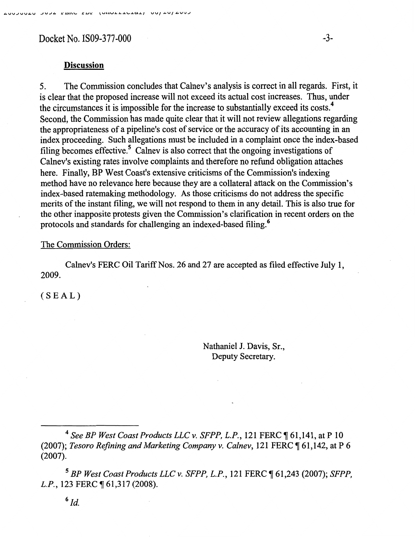Docket No. IS09-377-000 -3-

## Discussion

5. The Commission concludes that Calnev's analysis is correct in all regards. First, it is clear that the proposed increase will not exceed its actual cost increases. Thus, under the circumstances it is impossible for the increase to substantially exceed its costs.<sup>4</sup> Second, the Commission has made quite clear that it will not review allegations regarding the appropriateness of a pipeline's cost of service or the accuracy of its accounting in an index proceeding. Such allegations must be included in a complaint once the index-based filing becomes effective.<sup>5</sup> Calnev is also correct that the ongoing investigations of Calnev's existing rates involve complaints and therefore no refund obligation attaches here. Finally, BP West Coast's extensive criticisms of the Commission's indexing method have no relevance here because they are a collateral attack on the Commission's index-based ratemaking methodology. As those criticisms do not address the specific merits of the instant filing, we will not respond to them in any detail. This is also true for the other inapposite protests given the Commission's clarification in recent orders on the protocols and standards for challenging an indexed-based filing.6

### The Commission Orders:

Calnev's FERC Oil Tariff Nos. 26 and 27 are accepted as filed effective July 1, 2009.

(SEAL)

Nathaniel J. Davis, Sr., Deputy Secretary.

<sup>4</sup> See BP West Coast Products LLC v. SFPP, L.P., 121 FERC ¶ 61,141, at P 10 (2007); *Tesoro Refining and Marketing Company v. Calnev*, 121 FERC ¶ 61,142, at P 6 (2007).

<sup>5</sup>*BP West Coast Products LLC v. SFPP, L.P.,* 121 FERC ~ 61,243 (2007); *SFPP, L.P.*, 123 FERC ¶ 61,317 (2008).

 $6$   $Id$ .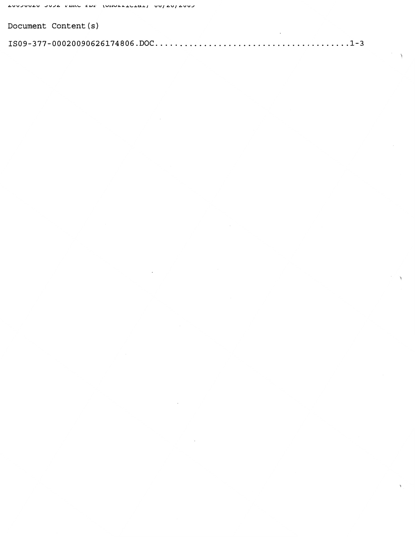| Document Content (s) |  |
|----------------------|--|
|                      |  |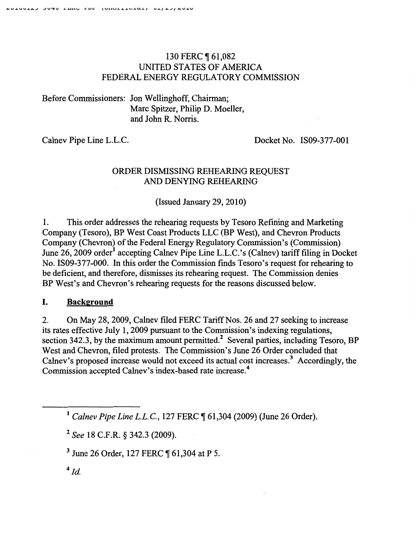# 130 FERC 1 61,082 UNITED STATES OF AMERICA FEDERAL ENERGY REGULATORY COMMISSION

Before Commissioners: Jon Wellinghoff, Chairman; Marc Spitzer, Philip D. Moeller, and John R. Norris.

Calnev Pipe Line L.L.C. Docket No. IS09-377-001

## ORDER DISMISSING REHEARING REQUEST AND DENYING REHEARING

(Issued January 29, 2010)

1. This order addresses the rehearing requests by Tesoro Refining and Marketing Company (Tesoro), BP West Coast Products LLC (BP West), and Chevron Products Company (Chevron) of the Federal Energy Regulatory Commission's (Commission) June 26, 2009 order<sup>1</sup> accepting Calnev Pipe Line L.L.C.'s (Calnev) tariff filing in Docket No. IS09-377-000. In this order the Commission finds Tesoro's request for rehearing to be deficient, and therefore, dismisses its rehearing request. The Commission denies BP West's and Chevron's rehearing requests for the reasons discussed below.

### I. **Background**

2. On May 28, 2009, Calnev filed FERC Tariff Nos. 26 and 27 seeking to increase its rates effective July 1, 2009 pursuant to the Commission's indexing regulations, section 342.3, by the maximum amount permitted.<sup>2</sup> Several parties, including Tesoro, BP West and Chevron, filed protests. The Commission's June 26 Order concluded that Calney's proposed increase would not exceed its actual cost increases.<sup>3</sup> Accordingly, the Commission accepted Calnev's index-based rate increase.4

<sup>1</sup> Calnev Pipe Line L.L.C., 127 FERC ¶ 61,304 (2009) (June 26 Order).

<sup>2</sup>*See* 18 C.F.R. § 342.3 (2009).

<sup>3</sup> June 26 Order, 127 FERC ¶ 61,304 at P 5.

 $4$  Jd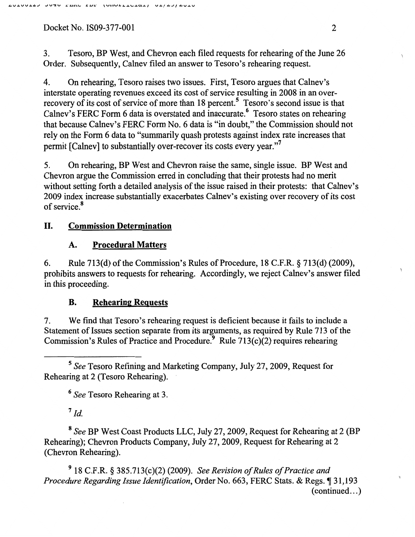3. Tesoro, BP West, and Chevron each filed requests for rehearing of the June 26 Order. Subsequently, Calnev filed an answer to Tesoro's rehearing request.

4. On rehearing, Tesoro raises two issues. First, Tesoro argues that Calnev's interstate operating revenues exceed its cost of service resulting in 2008 in an overrecovery of its cost of service of more than  $18$  percent.<sup>5</sup> Tesoro's second issue is that Calnev's FERC Form 6 data is overstated and inaccurate.<sup>6</sup> Tesoro states on rehearing that because Calnev's FERC Form No.6 data is "in doubt," the Commission should not rely on the Form 6 data to "summarily quash protests against index rate increases that permit [Calnev] to substantially over-recover its costs every year."7

5. On rehearing, BP West and Chevron raise the same, single issue. BP West and Chevron argue the Commission erred in concluding that their protests had no merit without setting forth a detailed analysis of the issue raised in their protests: that Calnev's 2009 index increase substantially exacerbates Calnev's existing over recovery of its cost of service.<sup>8</sup>

# II. **Commission Determination**

# **A. Procedural Matters**

6. Rule 713(d) of the Commission's Rules of Procedure, 18 C.F.R. § 713(d) (2009), prohibits answers to requests for rehearing. Accordingly, we reject Calnev's answer filed in this proceeding.

# **B. Rehearing Requests**

7. We find that Tesoro's rehearing request is deficient because it fails to include a Statement of Issues section separate from its arguments, as required by Rule 713 of the Commission's Rules of Practice and Procedure.<sup>9</sup> Rule 713(c)(2) requires rehearing

<sup>5</sup>*See* Tesoro Refining and Marketing Company, July 27,2009, Request for Rehearing at 2 (Tesoro Rehearing).

<sup>6</sup>*See* Tesoro Rehearing at 3.

 $7$   $Id.$ 

<sup>8</sup>*See* BP West Coast Products LLC, July 27,2009, Request for Rehearing at 2 (BP Rehearing); Chevron Products Company, July 27,2009, Request for Rehearing at 2 (Chevron Rehearing).

9 18 C.F.R. § 385.713(c)(2) (2009). *See Revision of Rules of Practice and Procedure Regarding Issue Identification, Order No. 663, FERC Stats. & Regs.* 131,193  $(continued...)$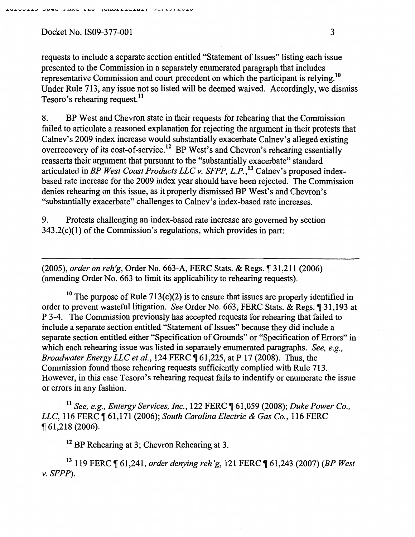requests to include a separate section entitled "Statement of Issues" listing each issue presented to the Commission in a separately enumerated paragraph that includes representative Commission and court precedent on which the participant is relying.<sup>10</sup> Under Rule 713, any issue not so listed will be deemed waived. Accordingly, we dismiss Tesoro's rehearing request.<sup>11</sup>

8. BP West and Chevron state in their requests for rehearing that the Commission failed to articulate a reasoned explanation for rejecting the argument in their protests that Calnev's 2009 index increase would substantially exacerbate Calnev's alleged existing overrecovery of its cost-of-service.12 BP West's and Chevron's rehearing essentially reasserts their argument that pursuant to the "substantially exacerbate" standard articulated in *BP West Coast Products LLC v. SFPP,* L.P.,*13* Calnev's proposed indexbased rate increase for the 2009 index year should have been rejected. The Commission denies rehearing on this issue, as it properly dismissed BP West's and Chevron's "substantially exacerbate" challenges to Calnev's index-based rate increases.

9. Protests challenging an index-based rate increase are governed by section 343.2(c)(l) of the Commission's regulations, which provides in part:

(2005), *order on reh'g,* Order No. 663-A, FERC Stats. & Regs.~ 31,211 (2006) (amending Order No. 663 to limit its applicability to rehearing requests).

<sup>10</sup> The purpose of Rule  $713(c)(2)$  is to ensure that issues are properly identified in order to prevent wasteful litigation. *See* Order No. 663, FERC Stats. & Regs.~ 31,193 at P 3-4. The Commission previously has accepted requests for rehearing that failed to include a separate section entitled "Statement of Issues" because they did include a separate section entitled either "Specification of Grounds" or "Specification of Errors" in which each rehearing issue was listed in separately enumerated paragraphs. *See, e.g., Broadwater Energy LLC et al.,* 124 FERC ¶ 61,225, at P 17 (2008). Thus, the Commission found those rehearing requests sufficiently complied with Rule 713. However, in this case Tesoro's rehearing request fails to indentify or enumerate the issue or errors in any fashion.

<sup>11</sup> See, e.g., Entergy Services, Inc., 122 FERC ¶ 61,059 (2008); Duke Power Co., *LLC*, 116 FERC ¶ 61,171 (2006); *South Carolina Electric & Gas Co.*, 116 FERC <sup>~</sup>61,218 (2006).

 $12$  BP Rehearing at 3; Chevron Rehearing at 3.

13 119 FERC ~ 61,241, *order denying reh 'g,* 121 FERC ~ 61,243 (2007) *(BP West v. SFPP).*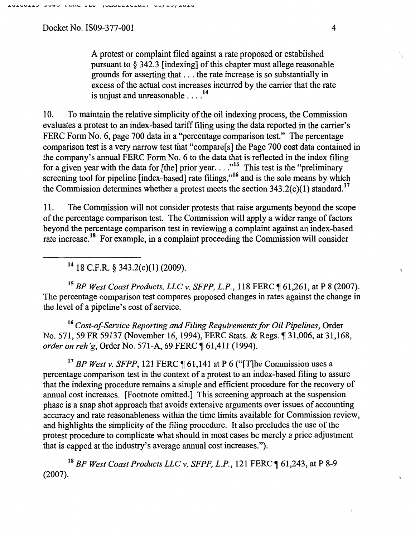A protest or complaint filed against a rate proposed or established pursuant to§ 342.3 [indexing] of this chapter must allege reasonable grounds for asserting that ... the rate increase is so substantially in excess of the actual cost increases incurred by the carrier that the rate is unjust and unreasonable .... 14

10. To maintain the relative simplicity of the oil indexing process, the Commission evaluates a protest to an index-based tariff filing using the data reported in the carrier's FERC Form No. 6, page 700 data in a "percentage comparison test." The percentage comparison test is a very narrow test that "compare[s] the Page 700 cost data contained in the company's annual FERC Form No. 6 to the data that is reflected in the index filing for a given year with the data for [the] prior year  $\dots$ <sup>15</sup> This test is the "preliminary" screening tool for pipeline [index-based] rate filings,"<sup>16</sup> and is the sole means by which the Commission determines whether a protest meets the section  $343.2(c)(1)$  standard.<sup>17</sup>

11. The Commission will not consider protests that raise arguments beyond the scope of the percentage comparison test. The Commission will apply a wider range of factors beyond the percentage comparison test in reviewing a complaint against an index-based rate increase.18 For example, in a complaint proceeding the Commission will consider

14 18 C.P.R. § 343.2(c)(l) (2009).

<sup>15</sup> BP West Coast Products, LLC v. SFPP, L.P., 118 FERC ¶ 61,261, at P 8 (2007). The percentage comparison test compares proposed changes in rates against the change in the level of a pipeline's cost of service.

<sup>16</sup>*Cost-of-Service Reporting and Filing Requirements for Oil Pipelines,* Order No. 571, 59 FR 59137 (November 16, 1994), FERC Stats. & Regs.  $\parallel$  31,006, at 31,168, *order on reh'g, Order No. 571-A, 69 FERC* 161,411 (1994).

<sup>17</sup> BP West v. SFPP, 121 FERC  $\P$  61,141 at P 6 ("[T]he Commission uses a percentage comparison test in the context of a protest to an index-based filing to assure that the indexing procedure remains a simple and efficient procedure for the recovery of annual cost increases. [Footnote omitted.] This screening approach at the suspension phase is a snap shot approach that avoids extensive arguments over issues of accounting accuracy and rate reasonableness within the time limits available for Commission review, and highlights the simplicity of the filing procedure. It also precludes the use of the protest procedure to complicate what should in most cases be merely a price adjustment that is capped at the industry's average annual cost increases.").

<sup>18</sup> BP West Coast Products LLC v. SFPP, L.P., 121 FERC ¶ 61,243, at P 8-9 (2007).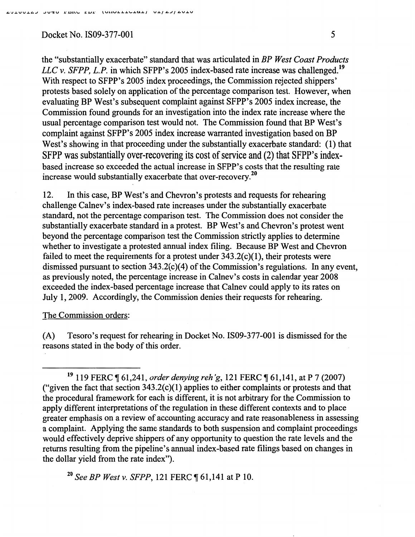the "substantially exacerbate" standard that was articulated in *BP West Coast Products LLC v. SFPP, L.P.* in which SFPP's 2005 index-based rate increase was challenged.<sup>19</sup> With respect to SFPP's 2005 index proceedings, the Commission rejected shippers' protests based solely on application of the percentage comparison test. However, when evaluating BP West's subsequent complaint against SFPP's 2005 index increase, the Commission found grounds for an investigation into the index rate increase where the usual percentage comparison test would not. The Commission found that BP West's complaint against SFPP's 2005 index increase warranted investigation based on BP West's showing in that proceeding under the substantially exacerbate standard: (1) that SFPP was substantially over-recovering its cost of service and (2) that SFPP's indexbased increase so exceeded the actual increase in SFPP's costs that the resulting rate increase would substantially exacerbate that over-recovery.<sup>20</sup>

12. In this case, BP West's and Chevron's protests and requests for rehearing challenge Calnev's index-based rate increases under the substantially exacerbate standard, not the percentage comparison test. The Commission does not consider the substantially exacerbate standard in a protest. BP West's and Chevron's protest went beyond the percentage comparison test the Commission strictly applies to determine whether to investigate a protested annual index filing. Because BP West and Chevron failed to meet the requirements for a protest under  $343.2(c)(1)$ , their protests were dismissed pursuant to section 343.2(c)(4) of the Commission's regulations. In any event, as previously noted, the percentage increase in Calnev's costs in calendar year 2008 exceeded the index-based percentage increase that Calnev could apply to its rates on July 1, 2009. Accordingly, the Commission denies their requests for rehearing.

### The Commission orders:

(A) Tesoro's request for rehearing in Docket No. 1809-377-001 is dismissed for the reasons stated in the body of this order.

<sup>20</sup> See BP West v. SFPP, 121 FERC ¶ 61,141 at P 10.

<sup>&</sup>lt;sup>19</sup> 119 FERC ¶ 61,241, *order denying reh'g*, 121 FERC ¶ 61,141, at P 7 (2007) ("given the fact that section  $343.2(c)(1)$  applies to either complaints or protests and that the procedural framework for each is different, it is not arbitrary for the Commission to apply different interpretations of the regulation in these different contexts and to place greater emphasis on a review of accounting accuracy and rate reasonableness in assessing a complaint. Applying the same standards to both suspension and complaint proceedings would effectively deprive shippers of any opportunity to question the rate levels and the returns resulting from the pipeline's annual index-based rate filings based on changes in the dollar yield from the rate index").